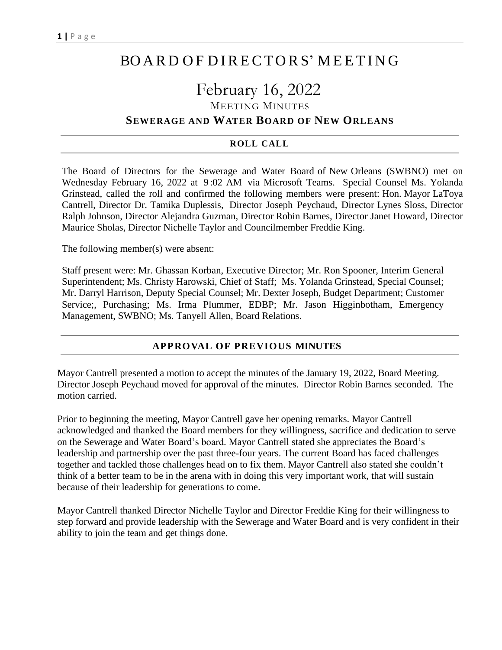## BO A R D O F D I RE CTO RS' M EET I N G

# February 16, 2022

MEETING MINUTES

## **SEWERAGE AND WATER BOARD OF NEW ORLEANS**

#### **ROLL CALL**

The Board of Directors for the Sewerage and Water Board of New Orleans (SWBNO) met on Wednesday February 16, 2022 at 9 :02 AM via Microsoft Teams. Special Counsel Ms. Yolanda Grinstead, called the roll and confirmed the following members were present: Hon. Mayor LaToya Cantrell, Director Dr. Tamika Duplessis, Director Joseph Peychaud, Director Lynes Sloss, Director Ralph Johnson, Director Alejandra Guzman, Director Robin Barnes, Director Janet Howard, Director Maurice Sholas, Director Nichelle Taylor and Councilmember Freddie King.

The following member(s) were absent:

Staff present were: Mr. Ghassan Korban, Executive Director; Mr. Ron Spooner, Interim General Superintendent; Ms. Christy Harowski, Chief of Staff; Ms. Yolanda Grinstead, Special Counsel; Mr. Darryl Harrison, Deputy Special Counsel; Mr. Dexter Joseph, Budget Department; Customer Service;, Purchasing; Ms. Irma Plummer, EDBP; Mr. Jason Higginbotham, Emergency Management, SWBNO; Ms. Tanyell Allen, Board Relations.

#### **APPROVAL OF PREVIOUS MINUTES**

Mayor Cantrell presented a motion to accept the minutes of the January 19, 2022, Board Meeting. Director Joseph Peychaud moved for approval of the minutes. Director Robin Barnes seconded. The motion carried.

Prior to beginning the meeting, Mayor Cantrell gave her opening remarks. Mayor Cantrell acknowledged and thanked the Board members for they willingness, sacrifice and dedication to serve on the Sewerage and Water Board's board. Mayor Cantrell stated she appreciates the Board's leadership and partnership over the past three-four years. The current Board has faced challenges together and tackled those challenges head on to fix them. Mayor Cantrell also stated she couldn't think of a better team to be in the arena with in doing this very important work, that will sustain because of their leadership for generations to come.

Mayor Cantrell thanked Director Nichelle Taylor and Director Freddie King for their willingness to step forward and provide leadership with the Sewerage and Water Board and is very confident in their ability to join the team and get things done.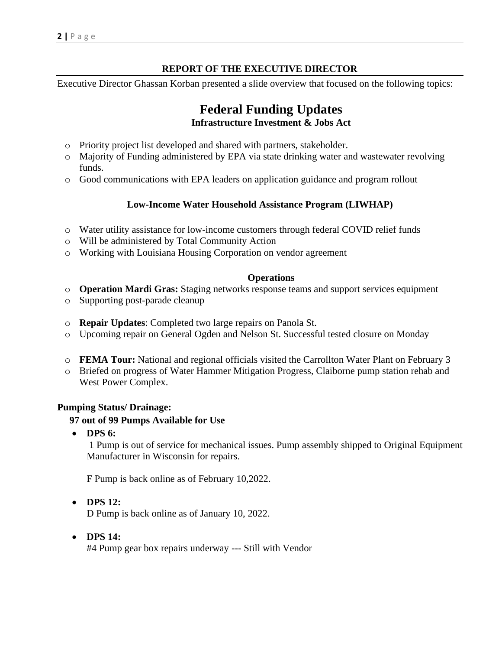## **REPORT OF THE EXECUTIVE DIRECTOR**

Executive Director Ghassan Korban presented a slide overview that focused on the following topics:

## **Federal Funding Updates Infrastructure Investment & Jobs Act**

- o Priority project list developed and shared with partners, stakeholder.
- o Majority of Funding administered by EPA via state drinking water and wastewater revolving funds.
- o Good communications with EPA leaders on application guidance and program rollout

#### **Low-Income Water Household Assistance Program (LIWHAP)**

- o Water utility assistance for low-income customers through federal COVID relief funds
- o Will be administered by Total Community Action
- o Working with Louisiana Housing Corporation on vendor agreement

#### **Operations**

- o **Operation Mardi Gras:** Staging networks response teams and support services equipment
- o Supporting post-parade cleanup
- o **Repair Updates**: Completed two large repairs on Panola St.
- o Upcoming repair on General Ogden and Nelson St. Successful tested closure on Monday
- o **FEMA Tour:** National and regional officials visited the Carrollton Water Plant on February 3
- o Briefed on progress of Water Hammer Mitigation Progress, Claiborne pump station rehab and West Power Complex.

#### **Pumping Status/ Drainage:**

#### **97 out of 99 Pumps Available for Use**

• **DPS 6:**

1 Pump is out of service for mechanical issues. Pump assembly shipped to Original Equipment Manufacturer in Wisconsin for repairs.

F Pump is back online as of February 10,2022.

• **DPS 12:**

D Pump is back online as of January 10, 2022.

• **DPS 14:**

#4 Pump gear box repairs underway --- Still with Vendor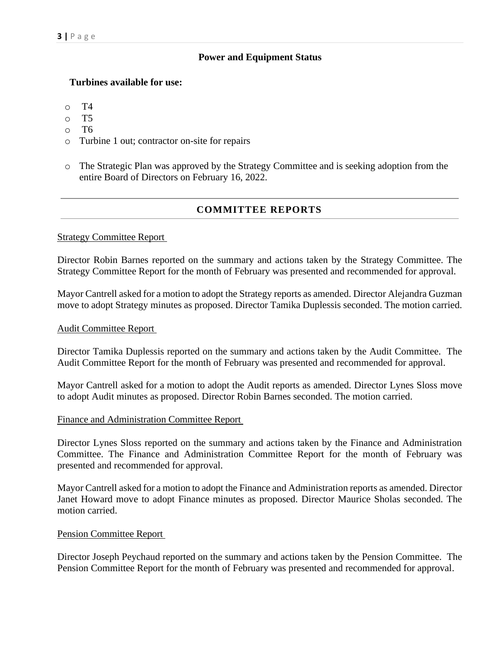#### **Power and Equipment Status**

#### **Turbines available for use:**

- o T4
- o T5
- o T6
- o Turbine 1 out; contractor on-site for repairs
- o The Strategic Plan was approved by the Strategy Committee and is seeking adoption from the entire Board of Directors on February 16, 2022.

## **COMMITTEE REPORTS**

#### Strategy Committee Report

Director Robin Barnes reported on the summary and actions taken by the Strategy Committee. The Strategy Committee Report for the month of February was presented and recommended for approval.

Mayor Cantrell asked for a motion to adopt the Strategy reports as amended. Director Alejandra Guzman move to adopt Strategy minutes as proposed. Director Tamika Duplessis seconded. The motion carried.

#### Audit Committee Report

Director Tamika Duplessis reported on the summary and actions taken by the Audit Committee. The Audit Committee Report for the month of February was presented and recommended for approval.

Mayor Cantrell asked for a motion to adopt the Audit reports as amended. Director Lynes Sloss move to adopt Audit minutes as proposed. Director Robin Barnes seconded. The motion carried.

#### Finance and Administration Committee Report

Director Lynes Sloss reported on the summary and actions taken by the Finance and Administration Committee. The Finance and Administration Committee Report for the month of February was presented and recommended for approval.

Mayor Cantrell asked for a motion to adopt the Finance and Administration reports as amended. Director Janet Howard move to adopt Finance minutes as proposed. Director Maurice Sholas seconded. The motion carried.

#### Pension Committee Report

Director Joseph Peychaud reported on the summary and actions taken by the Pension Committee. The Pension Committee Report for the month of February was presented and recommended for approval.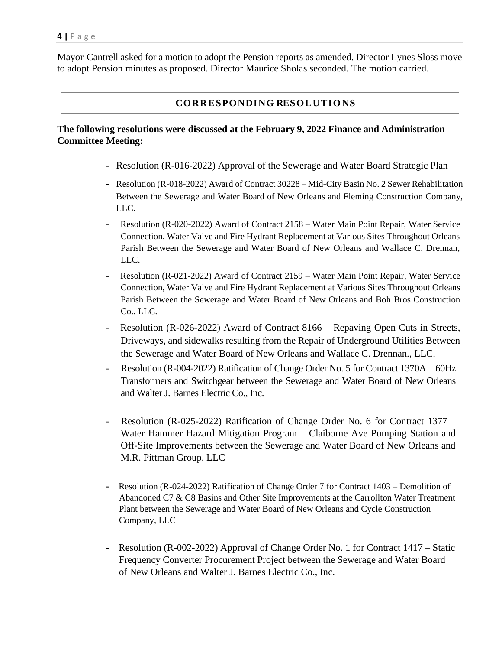Mayor Cantrell asked for a motion to adopt the Pension reports as amended. Director Lynes Sloss move to adopt Pension minutes as proposed. Director Maurice Sholas seconded. The motion carried.

## **CORRESPONDING RESOLUTIONS**

#### **The following resolutions were discussed at the February 9, 2022 Finance and Administration Committee Meeting:**

- **-** Resolution (R-016-2022) Approval of the Sewerage and Water Board Strategic Plan
- **-** Resolution (R-018-2022) Award of Contract 30228 Mid-City Basin No. 2 Sewer Rehabilitation Between the Sewerage and Water Board of New Orleans and Fleming Construction Company, LLC.
- Resolution (R-020-2022) Award of Contract 2158 Water Main Point Repair, Water Service Connection, Water Valve and Fire Hydrant Replacement at Various Sites Throughout Orleans Parish Between the Sewerage and Water Board of New Orleans and Wallace C. Drennan, LLC.
- Resolution (R-021-2022) Award of Contract 2159 Water Main Point Repair, Water Service Connection, Water Valve and Fire Hydrant Replacement at Various Sites Throughout Orleans Parish Between the Sewerage and Water Board of New Orleans and Boh Bros Construction Co., LLC.
- Resolution (R-026-2022) Award of Contract 8166 Repaving Open Cuts in Streets, Driveways, and sidewalks resulting from the Repair of Underground Utilities Between the Sewerage and Water Board of New Orleans and Wallace C. Drennan., LLC.
- Resolution (R-004-2022) Ratification of Change Order No. 5 for Contract 1370A 60Hz Transformers and Switchgear between the Sewerage and Water Board of New Orleans and Walter J. Barnes Electric Co., Inc.
- Resolution (R-025-2022) Ratification of Change Order No. 6 for Contract 1377 Water Hammer Hazard Mitigation Program – Claiborne Ave Pumping Station and Off-Site Improvements between the Sewerage and Water Board of New Orleans and M.R. Pittman Group, LLC
- **-** Resolution (R-024-2022) Ratification of Change Order 7 for Contract 1403 Demolition of Abandoned C7 & C8 Basins and Other Site Improvements at the Carrollton Water Treatment Plant between the Sewerage and Water Board of New Orleans and Cycle Construction Company, LLC
- Resolution (R-002-2022) Approval of Change Order No. 1 for Contract 1417 Static Frequency Converter Procurement Project between the Sewerage and Water Board of New Orleans and Walter J. Barnes Electric Co., Inc.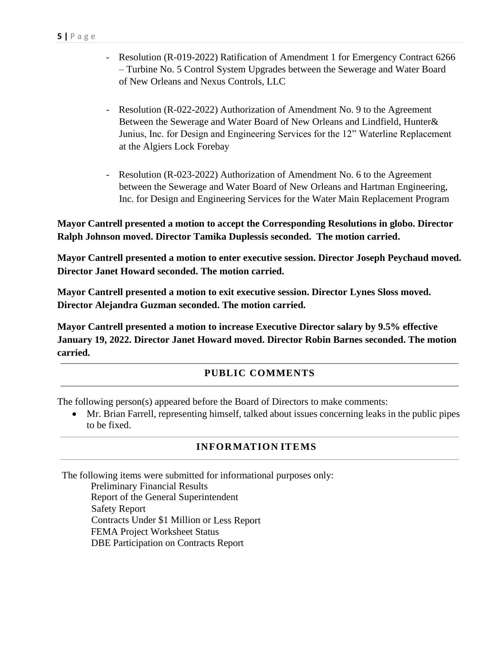- Resolution (R-019-2022) Ratification of Amendment 1 for Emergency Contract 6266 – Turbine No. 5 Control System Upgrades between the Sewerage and Water Board of New Orleans and Nexus Controls, LLC
- Resolution (R-022-2022) Authorization of Amendment No. 9 to the Agreement Between the Sewerage and Water Board of New Orleans and Lindfield, Hunter& Junius, Inc. for Design and Engineering Services for the 12" Waterline Replacement at the Algiers Lock Forebay
- Resolution (R-023-2022) Authorization of Amendment No. 6 to the Agreement between the Sewerage and Water Board of New Orleans and Hartman Engineering, Inc. for Design and Engineering Services for the Water Main Replacement Program

**Mayor Cantrell presented a motion to accept the Corresponding Resolutions in globo. Director Ralph Johnson moved. Director Tamika Duplessis seconded. The motion carried.**

**Mayor Cantrell presented a motion to enter executive session. Director Joseph Peychaud moved. Director Janet Howard seconded. The motion carried.**

**Mayor Cantrell presented a motion to exit executive session. Director Lynes Sloss moved. Director Alejandra Guzman seconded. The motion carried.**

**Mayor Cantrell presented a motion to increase Executive Director salary by 9.5% effective January 19, 2022. Director Janet Howard moved. Director Robin Barnes seconded. The motion carried.**

## **PUBLIC COMMENTS**

The following person(s) appeared before the Board of Directors to make comments:

• Mr. Brian Farrell, representing himself, talked about issues concerning leaks in the public pipes to be fixed.

## **INFORMATION ITEMS**

The following items were submitted for informational purposes only:

Preliminary Financial Results Report of the General Superintendent Safety Report Contracts Under \$1 Million or Less Report FEMA Project Worksheet Status DBE Participation on Contracts Report